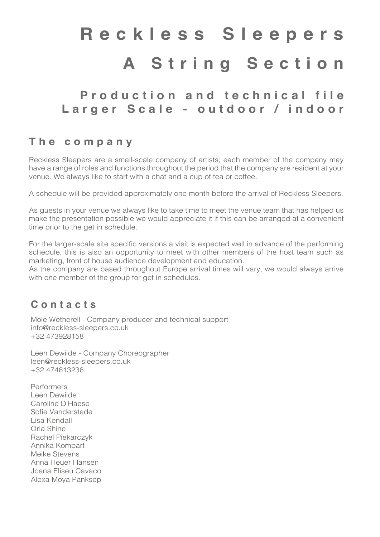## **Reckless Sleepers A String Section**

### P r o d u c t i o n a n d t e c h n i c a l file **Larger Scale - outdoor / indoor**

#### **The company**

Reckless Sleepers are a small-scale company of artists; each member of the company may have a range of roles and functions throughout the period that the company are resident at your venue. We always like to start with a chat and a cup of tea or coffee.

A schedule will be provided approximately one month before the arrival of Reckless Sleepers.

As guests in your venue we always like to take time to meet the venue team that has helped us make the presentation possible we would appreciate it if this can be arranged at a convenient time prior to the get in schedule.

For the larger-scale site specific versions a visit is expected well in advance of the performing schedule, this is also an opportunity to meet with other members of the host team such as marketing, front of house audience development and education.

As the company are based throughout Europe arrival times will vary, we would always arrive with one member of the group for get in schedules.

#### **Contacts**

Mole Wetherell - Company producer and technical support info@reckless-sleepers.co.uk +32 473928158

Leen Dewilde - Company Choreographer leen@reckless-sleepers.co.uk +32 474613236

Performers Leen Dewilde Caroline D'Haese Sofie Vanderstede Lisa Kendall Orla Shine Rachel Piekarczyk Annika Kompart Meike Stevens Anna Heuer Hansen Joana Eliseu Cavaco Alexa Moya Panksep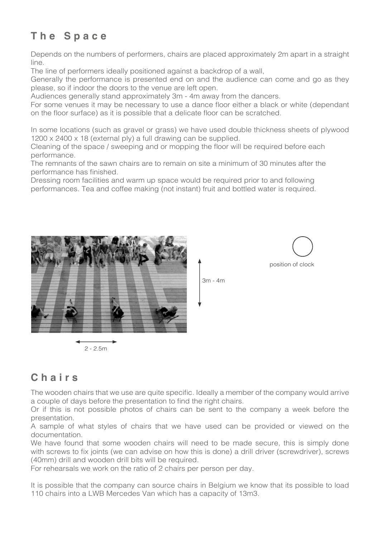#### **The Space**

Depends on the numbers of performers, chairs are placed approximately 2m apart in a straight line.

The line of performers ideally positioned against a backdrop of a wall,

Generally the performance is presented end on and the audience can come and go as they please, so if indoor the doors to the venue are left open.

Audiences generally stand approximately 3m - 4m away from the dancers.

For some venues it may be necessary to use a dance floor either a black or white (dependant on the floor surface) as it is possible that a delicate floor can be scratched.

In some locations (such as gravel or grass) we have used double thickness sheets of plywood 1200 x 2400 x 18 (external ply) a full drawing can be supplied.

Cleaning of the space / sweeping and or mopping the floor will be required before each performance.

The remnants of the sawn chairs are to remain on site a minimum of 30 minutes after the performance has finished.

Dressing room facilities and warm up space would be required prior to and following performances. Tea and coffee making (not instant) fruit and bottled water is required.





2 - 2.5m

#### **Chairs**

The wooden chairs that we use are quite specific. Ideally a member of the company would arrive a couple of days before the presentation to find the right chairs.

3m - 4m

Or if this is not possible photos of chairs can be sent to the company a week before the presentation.

A sample of what styles of chairs that we have used can be provided or viewed on the documentation.

We have found that some wooden chairs will need to be made secure, this is simply done with screws to fix joints (we can advise on how this is done) a drill driver (screwdriver), screws (40mm) drill and wooden drill bits will be required.

For rehearsals we work on the ratio of 2 chairs per person per day.

It is possible that the company can source chairs in Belgium we know that its possible to load 110 chairs into a LWB Mercedes Van which has a capacity of 13m3.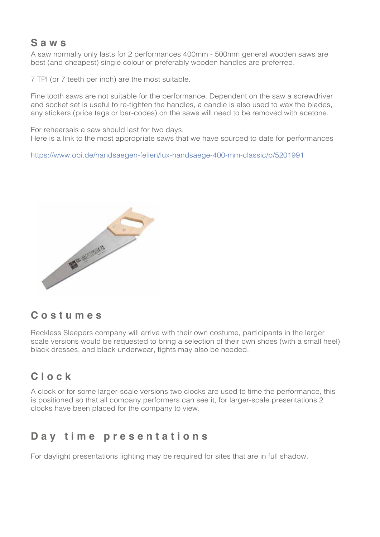#### **Saws**

A saw normally only lasts for 2 performances 400mm - 500mm general wooden saws are best (and cheapest) single colour or preferably wooden handles are preferred.

7 TPI (or 7 teeth per inch) are the most suitable.

Fine tooth saws are not suitable for the performance. Dependent on the saw a screwdriver and socket set is useful to re-tighten the handles, a candle is also used to wax the blades, any stickers (price tags or bar-codes) on the saws will need to be removed with acetone.

For rehearsals a saw should last for two days. Here is a link to the most appropriate saws that we have sourced to date for performances

<https://www.obi.de/handsaegen-feilen/lux-handsaege-400-mm-classic/p/5201991>



#### **Costumes**

Reckless Sleepers company will arrive with their own costume, participants in the larger scale versions would be requested to bring a selection of their own shoes (with a small heel) black dresses, and black underwear, tights may also be needed.

#### **Clock**

A clock or for some larger-scale versions two clocks are used to time the performance, this is positioned so that all company performers can see it, for larger-scale presentations 2 clocks have been placed for the company to view.

#### **Day time presentations**

For daylight presentations lighting may be required for sites that are in full shadow.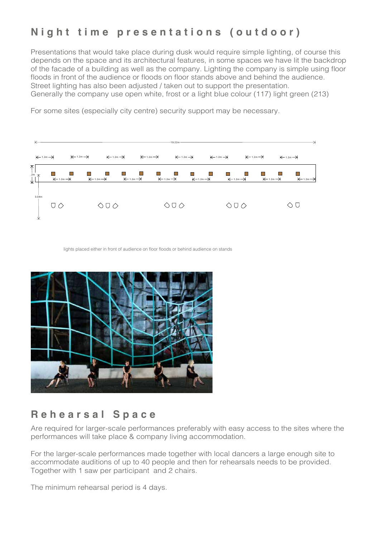#### **Night time presentations (outdoor)**

Presentations that would take place during dusk would require simple lighting, of course this depends on the space and its architectural features, in some spaces we have lit the backdrop of the facade of a building as well as the company. Lighting the company is simple using floor floods in front of the audience or floods on floor stands above and behind the audience. Street lighting has also been adjusted / taken out to support the presentation. Generally the company use open white, frost or a light blue colour (117) light green (213)

For some sites (especially city centre) security support may be necessary.

|                                      | 19.22m                          |                          |                                                                 |                              |  |                                                                                                 |                                                                    |
|--------------------------------------|---------------------------------|--------------------------|-----------------------------------------------------------------|------------------------------|--|-------------------------------------------------------------------------------------------------|--------------------------------------------------------------------|
| $\xleftarrow{1.2m}$ $\xrightarrow{}$ | $\leftarrow$ 1.2m $\rightarrow$ |                          | $\leftarrow$ 1.2m $\rightarrow$ $\leftarrow$ 1.2m $\rightarrow$ |                              |  | $\leftarrow$ 1.2m $\rightarrow$ $\leftarrow$ 1.2m $\rightarrow$ $\leftarrow$ 1.2m $\rightarrow$ | $\leftarrow$ 1.2m $\rightarrow$                                    |
| 不<br>$2m$ <sub>1</sub> $\pi$<br>⊻    | $\leftarrow$ 1.2m $\rightarrow$ |                          |                                                                 |                              |  | П<br>m,<br>$\leftarrow$ 1.2m $\rightarrow$                                                      | $\leftarrow$ 1.2m $\rightarrow$<br>$\leftarrow$ 1.2m $\rightarrow$ |
| 3.04m<br>业                           | $\cup \circlearrowright$        | $\Diamond \Box \Diamond$ |                                                                 | $\Diamond$ $\Box$ $\Diamond$ |  | $\Diamond \Box \Diamond$                                                                        |                                                                    |

lights placed either in front of audience on floor floods or behind audience on stands



#### **Rehearsal Space**

Are required for larger-scale performances preferably with easy access to the sites where the performances will take place & company living accommodation.

Together with 1 saw per participant and 2 chairs. For the larger-scale performances made together with local dancers a large enough site to accommodate auditions of up to 40 people and then for rehearsals needs to be provided.

The minimum rehearsal period is 4 days.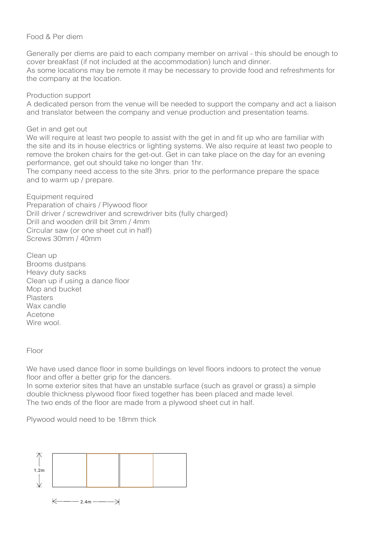#### Food & Per diem

Generally per diems are paid to each company member on arrival - this should be enough to cover breakfast (if not included at the accommodation) lunch and dinner. As some locations may be remote it may be necessary to provide food and refreshments for the company at the location.

Production support

A dedicated person from the venue will be needed to support the company and act a liaison and translator between the company and venue production and presentation teams.

Get in and get out

We will require at least two people to assist with the get in and fit up who are familiar with the site and its in house electrics or lighting systems. We also require at least two people to remove the broken chairs for the get-out. Get in can take place on the day for an evening performance, get out should take no longer than 1hr.

The company need access to the site 3hrs. prior to the performance prepare the space and to warm up / prepare. !.\$m !.\$m !.\$m !.\$m

Equipment required Preparation of chairs / Plywood floor Drill driver / screwdriver and screwdriver bits (fully charged) Drill and wooden drill bit 3mm / 4mm Circular saw (or one sheet cut in half) Screws 30mm / 40mm

Clean up Brooms dustpans Heavy duty sacks Clean up if using a dance floor Mop and bucket Plasters Wax candle Acetone Wire wool WE MAY NEED TO LIGHT TO LIGHT TO LIGHT THE PARTICULAR BUILDING AS WELL AS THE PERFORMER STATES OF A PARTICULAR BUILDING AS THE PERFORMERS.  $V = W$ ideas would need to be discussed at site meetings prior to the presentation schedule.

Floor

We have used dance floor in some buildings on level floors indoors to protect the venue floor and offer a better grip for the dancers.

In some exterior sites that have an unstable surface (such as gravel or grass) a simple double thickness plywood floor fixed together has been placed and made level. The two ends of the floor are made from a plywood sheet cut in half. the floor are made from a plywood sheet cut in half. Plymouth need to be 18mm thick. Plymouth need to be 18mm thick.

Plywood would need to be 18mm thick